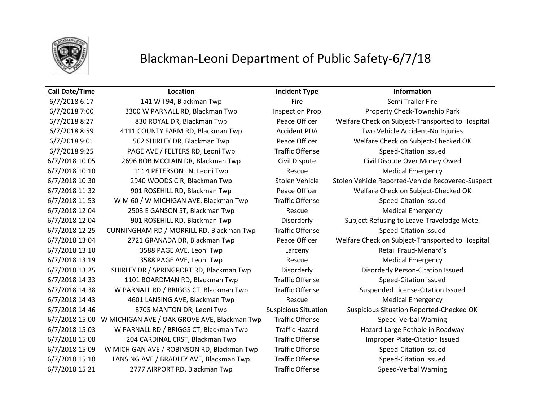

## Blackman-Leoni Department of Public Safety-6/7/18

### **Call Date/Time Location Incident Type Information**

6/7/2018 6:17 141 W I 94, Blackman Twp Fire Fire Semi Trailer Fire Semi Trailer Fire 6/7/2018 7:00 3300 W PARNALL RD, Blackman Twp Inspection Prop Property Check-Township Park 6/7/2018 8:59 4111 COUNTY FARM RD, Blackman Twp Accident PDA Two Vehicle Accident-No Injuries 6/7/2018 9:25 PAGE AVE / FELTERS RD, Leoni Twp Traffic Offense Speed-Citation Issued 6/7/2018 10:05 2696 BOB MCCLAIN DR, Blackman Twp Civil Dispute Civil Dispute Over Money Owed 6/7/2018 10:10 1114 PETERSON LN, Leoni Twp Rescue Medical Emergency 6/7/2018 11:53 W M 60 / W MICHIGAN AVE, Blackman Twp Traffic Offense Speed-Citation Issued 6/7/2018 12:04 2503 E GANSON ST, Blackman Twp Rescue Medical Emergency 6/7/2018 12:25 CUNNINGHAM RD / MORRILL RD, Blackman Twp Traffic Offense Speed-Citation Issued 6/7/2018 13:10 3588 PAGE AVE, Leoni Twp Larceny Retail Fraud-Menard's 6/7/2018 13:19 3588 PAGE AVE, Leoni Twp Rescue Rescue Medical Emergency 6/7/2018 13:25 SHIRLEY DR / SPRINGPORT RD, Blackman Twp Disorderly Disorderly Person-Citation Issued 6/7/2018 14:33 1101 BOARDMAN RD, Blackman Twp Traffic Offense Speed-Citation Issued 6/7/2018 14:38 W PARNALL RD / BRIGGS CT, Blackman Twp Traffic Offense Suspended License-Citation Issued 6/7/2018 14:43 4601 LANSING AVE, Blackman Twp Rescue Medical Emergency 6/7/2018 15:00 W MICHIGAN AVE / OAK GROVE AVE, Blackman Twp Traffic Offense Speed-Verbal Warning 6/7/2018 15:03 W PARNALL RD / BRIGGS CT, Blackman Twp Traffic Hazard Hazard-Large Pothole in Roadway 6/7/2018 15:08 204 CARDINAL CRST, Blackman Twp Traffic Offense Improper Plate-Citation Issued 6/7/2018 15:09 W MICHIGAN AVE / ROBINSON RD, Blackman Twp Traffic Offense Speed-Citation Issued 6/7/2018 15:10 LANSING AVE / BRADLEY AVE, Blackman Twp Traffic Offense Speed-Citation Issued 6/7/2018 15:21 2777 AIRPORT RD, Blackman Twp Traffic Offense Speed-Verbal Warning

6/7/2018 8:27 830 ROYAL DR, Blackman Twp Peace Officer Welfare Check on Subject-Transported to Hospital 6/7/2018 9:01 562 SHIRLEY DR, Blackman Twp Peace Officer Welfare Check on Subject-Checked OK 6/7/2018 10:30 2940 WOODS CIR, Blackman Twp Stolen Vehicle Stolen Vehicle Reported-Vehicle Recovered-Suspect 6/7/2018 11:32 901 ROSEHILL RD, Blackman Twp Peace Officer Welfare Check on Subject-Checked OK 6/7/2018 12:04 901 ROSEHILL RD, Blackman Twp Disorderly Subject Refusing to Leave-Travelodge Motel 6/7/2018 13:04 2721 GRANADA DR, Blackman Twp Peace Officer Welfare Check on Subject-Transported to Hospital 6/7/2018 14:46 8705 MANTON DR, Leoni Twp Suspicious Situation Suspicious Situation Reported-Checked OK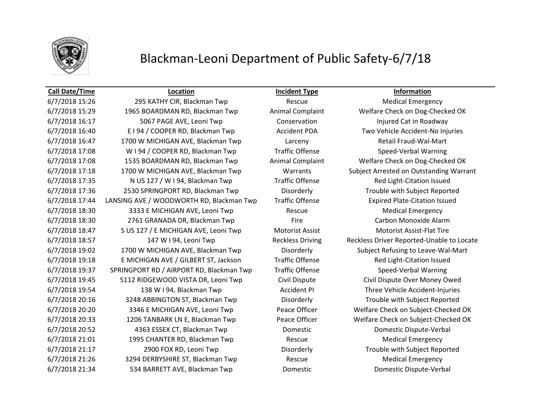

## Blackman-Leoni Department of Public Safety-6/7/18

### **Call Date/Time Location Incident Type Information**

6/7/2018 15:29 1965 BOARDMAN RD, Blackman Twp Animal Complaint Welfare Check on Dog-Checked OK 6/7/2018 16:17 5067 PAGE AVE, Leoni Twp Conservation Conservation Injured Cat in Roadway 6/7/2018 16:40 E I 94 / COOPER RD, Blackman Twp Accident PDA Two Vehicle Accident-No Injuries 6/7/2018 16:47 1700 W MICHIGAN AVE, Blackman Twp Larceny Larceny Retail Fraud-Wal-Mart 6/7/2018 17:08 W I 94 / COOPER RD, Blackman Twp Traffic Offense Speed-Verbal Warning 6/7/2018 17:08 1535 BOARDMAN RD, Blackman Twp Animal Complaint Welfare Check on Dog-Checked OK 6/7/2018 17:18 1700 W MICHIGAN AVE, Blackman Twp Warrants Subject Arrested on Outstanding Warrant 6/7/2018 17:35 N US 127 / W I 94, Blackman Twp Traffic Offense Red Light-Citation Issued 6/7/2018 17:36 2530 SPRINGPORT RD, Blackman Twp Disorderly Trouble with Subject Reported 6/7/2018 17:44 LANSING AVE / WOODWORTH RD, Blackman Twp Traffic Offense Expired Plate-Citation Issued 6/7/2018 18:30 3333 E MICHIGAN AVE, Leoni Twp Rescue Rescue Medical Emergency 6/7/2018 18:30 2761 GRANADA DR, Blackman Twp Fire Carbon Monoxide Alarm 6/7/2018 18:47 S US 127 / E MICHIGAN AVE, Leoni Twp Motorist Assist Motorist Assist-Flat Tire 6/7/2018 18:57 147 W I 94, Leoni Twp Reckless Driving Reckless Driver Reported-Unable to Locate 6/7/2018 19:02 1700 W MICHIGAN AVE, Blackman Twp Disorderly Subject Refusing to Leave-Wal-Mart 6/7/2018 19:18 E MICHIGAN AVE / GILBERT ST, Jackson Traffic Offense Red Light-Citation Issued 6/7/2018 19:37 SPRINGPORT RD / AIRPORT RD, Blackman Twp Traffic Offense Speed-Verbal Warning 6/7/2018 19:45 5112 RIDGEWOOD VISTA DR, Leoni Twp Civil Dispute Civil Dispute Over Money Owed 6/7/2018 19:54 138 W I 94, Blackman Twp Accident PI Three Vehicle Accident-Injuries 6/7/2018 20:16 3248 ABBINGTON ST, Blackman Twp Disorderly Trouble with Subject Reported 6/7/2018 20:20 3346 E MICHIGAN AVE, Leoni Twp Peace Officer Welfare Check on Subject-Checked OK 6/7/2018 20:33 1206 TANBARK LN E, Blackman Twp Peace Officer Welfare Check on Subject-Checked OK 6/7/2018 20:52 4363 ESSEX CT, Blackman Twp Domestic Domestic Dispute-Verbal 6/7/2018 21:01 1995 CHANTER RD, Blackman Twp Rescue Rescue Medical Emergency 6/7/2018 21:17 2900 FOX RD, Leoni Twp Disorderly Trouble with Subject Reported 6/7/2018 21:26 3294 DERBYSHIRE ST, Blackman Twp Rescue Medical Emergency 6/7/2018 21:34 534 BARRETT AVE, Blackman Twp Domestic Domestic Dispute-Verbal

6/7/2018 15:26 295 KATHY CIR, Blackman Twp Rescue Medical Emergency